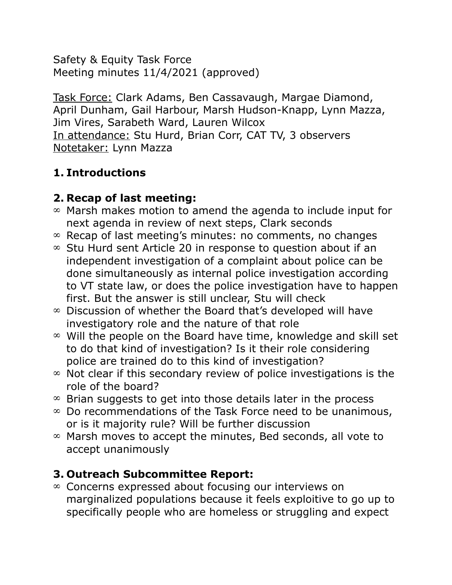Safety & Equity Task Force Meeting minutes 11/4/2021 (approved)

Task Force: Clark Adams, Ben Cassavaugh, Margae Diamond, April Dunham, Gail Harbour, Marsh Hudson-Knapp, Lynn Mazza, Jim Vires, Sarabeth Ward, Lauren Wilcox In attendance: Stu Hurd, Brian Corr, CAT TV, 3 observers Notetaker: Lynn Mazza

## **1. Introductions**

## **2. Recap of last meeting:**

- $\infty$  Marsh makes motion to amend the agenda to include input for next agenda in review of next steps, Clark seconds
- $\infty$  Recap of last meeting's minutes: no comments, no changes
- $\infty$  Stu Hurd sent Article 20 in response to question about if an independent investigation of a complaint about police can be done simultaneously as internal police investigation according to VT state law, or does the police investigation have to happen first. But the answer is still unclear, Stu will check
- $\infty$  Discussion of whether the Board that's developed will have investigatory role and the nature of that role
- $\infty$  Will the people on the Board have time, knowledge and skill set to do that kind of investigation? Is it their role considering police are trained do to this kind of investigation?
- $\infty$  Not clear if this secondary review of police investigations is the role of the board?
- $\infty$  Brian suggests to get into those details later in the process
- $\infty$  Do recommendations of the Task Force need to be unanimous, or is it majority rule? Will be further discussion
- $\infty$  Marsh moves to accept the minutes, Bed seconds, all vote to accept unanimously

# **3. Outreach Subcommittee Report:**

 $\infty$  Concerns expressed about focusing our interviews on marginalized populations because it feels exploitive to go up to specifically people who are homeless or struggling and expect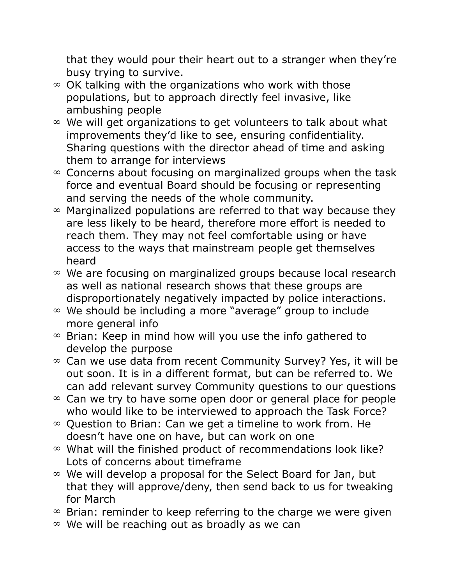that they would pour their heart out to a stranger when they're busy trying to survive.

- $\infty$  OK talking with the organizations who work with those populations, but to approach directly feel invasive, like ambushing people
- $\infty$  We will get organizations to get volunteers to talk about what improvements they'd like to see, ensuring confidentiality. Sharing questions with the director ahead of time and asking them to arrange for interviews
- $\infty$  Concerns about focusing on marginalized groups when the task force and eventual Board should be focusing or representing and serving the needs of the whole community.
- $\infty$  Marginalized populations are referred to that way because they are less likely to be heard, therefore more effort is needed to reach them. They may not feel comfortable using or have access to the ways that mainstream people get themselves heard
- $\infty$  We are focusing on marginalized groups because local research as well as national research shows that these groups are disproportionately negatively impacted by police interactions.
- We should be including a more "average" group to include more general info
- $\infty$  Brian: Keep in mind how will you use the info gathered to develop the purpose
- $\infty$  Can we use data from recent Community Survey? Yes, it will be out soon. It is in a different format, but can be referred to. We can add relevant survey Community questions to our questions
- $\infty$  Can we try to have some open door or general place for people who would like to be interviewed to approach the Task Force?
- $\infty$  Question to Brian: Can we get a timeline to work from. He doesn't have one on have, but can work on one
- $\infty$  What will the finished product of recommendations look like? Lots of concerns about timeframe
- $\infty$  We will develop a proposal for the Select Board for Jan, but that they will approve/deny, then send back to us for tweaking for March
- $\infty$  Brian: reminder to keep referring to the charge we were given
- $\infty$  We will be reaching out as broadly as we can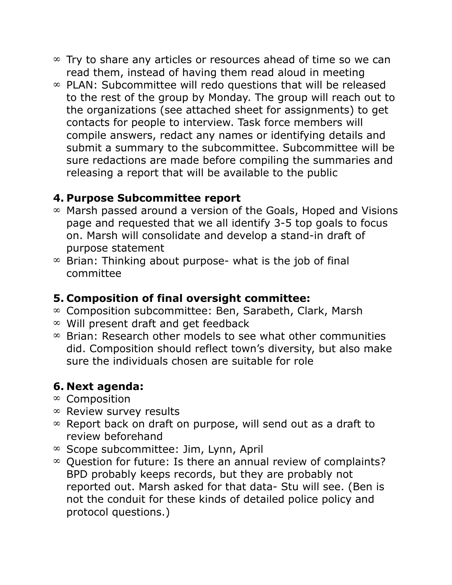- $\infty$  Try to share any articles or resources ahead of time so we can read them, instead of having them read aloud in meeting
- $\infty$  PLAN: Subcommittee will redo questions that will be released to the rest of the group by Monday. The group will reach out to the organizations (see attached sheet for assignments) to get contacts for people to interview. Task force members will compile answers, redact any names or identifying details and submit a summary to the subcommittee. Subcommittee will be sure redactions are made before compiling the summaries and releasing a report that will be available to the public

#### **4. Purpose Subcommittee report**

- $\infty$  Marsh passed around a version of the Goals, Hoped and Visions page and requested that we all identify 3-5 top goals to focus on. Marsh will consolidate and develop a stand-in draft of purpose statement
- $\infty$  Brian: Thinking about purpose- what is the job of final committee

#### **5. Composition of final oversight committee:**

- $\infty$  Composition subcommittee: Ben, Sarabeth, Clark, Marsh
- $\infty$  Will present draft and get feedback
- $\infty$  Brian: Research other models to see what other communities did. Composition should reflect town's diversity, but also make sure the individuals chosen are suitable for role

### **6. Next agenda:**

- $\infty$  Composition
- $\infty$  Review survey results
- $\infty$  Report back on draft on purpose, will send out as a draft to review beforehand
- $\infty$  Scope subcommittee: Jim, Lynn, April
- $\infty$  Question for future: Is there an annual review of complaints? BPD probably keeps records, but they are probably not reported out. Marsh asked for that data- Stu will see. (Ben is not the conduit for these kinds of detailed police policy and protocol questions.)